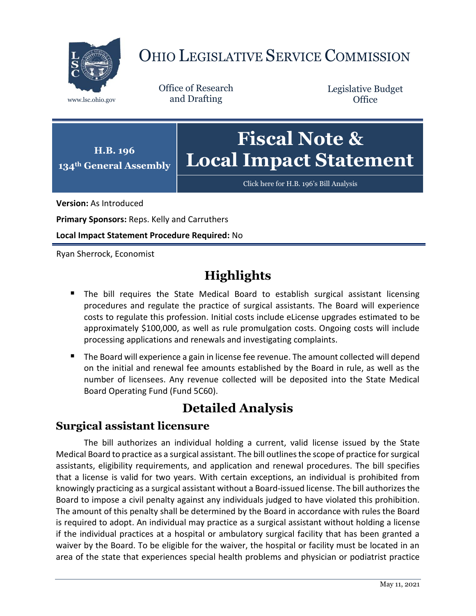

# OHIO LEGISLATIVE SERVICE COMMISSION

Office of Research www.lsc.ohio.gov and Drafting

Legislative Budget **Office** 



[Click here for H.B. 196](https://www.legislature.ohio.gov/legislation/legislation-documents?id=GA134-HB-196)'s Bill Analysis

**Version:** As Introduced

**Primary Sponsors:** Reps. Kelly and Carruthers

**Local Impact Statement Procedure Required:** No

Ryan Sherrock, Economist

## **Highlights**

- **The bill requires the State Medical Board to establish surgical assistant licensing** procedures and regulate the practice of surgical assistants. The Board will experience costs to regulate this profession. Initial costs include eLicense upgrades estimated to be approximately \$100,000, as well as rule promulgation costs. Ongoing costs will include processing applications and renewals and investigating complaints.
- The Board will experience a gain in license fee revenue. The amount collected will depend on the initial and renewal fee amounts established by the Board in rule, as well as the number of licensees. Any revenue collected will be deposited into the State Medical Board Operating Fund (Fund 5C60).

## **Detailed Analysis**

#### **Surgical assistant licensure**

The bill authorizes an individual holding a current, valid license issued by the State Medical Board to practice as a surgical assistant. The bill outlines the scope of practice for surgical assistants, eligibility requirements, and application and renewal procedures. The bill specifies that a license is valid for two years. With certain exceptions, an individual is prohibited from knowingly practicing as a surgical assistant without a Board-issued license. The bill authorizes the Board to impose a civil penalty against any individuals judged to have violated this prohibition. The amount of this penalty shall be determined by the Board in accordance with rules the Board is required to adopt. An individual may practice as a surgical assistant without holding a license if the individual practices at a hospital or ambulatory surgical facility that has been granted a waiver by the Board. To be eligible for the waiver, the hospital or facility must be located in an area of the state that experiences special health problems and physician or podiatrist practice